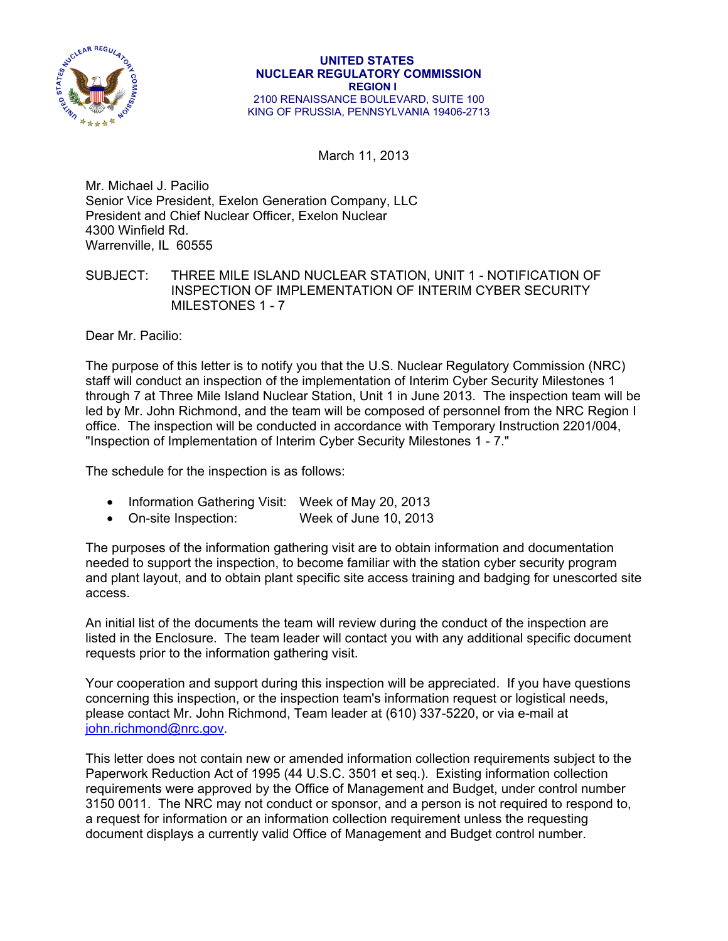

March 11, 2013

Mr. Michael J. Pacilio Senior Vice President, Exelon Generation Company, LLC President and Chief Nuclear Officer, Exelon Nuclear 4300 Winfield Rd. Warrenville, IL 60555

SUBJECT: THREE MILE ISLAND NUCLEAR STATION, UNIT 1 - NOTIFICATION OF INSPECTION OF IMPLEMENTATION OF INTERIM CYBER SECURITY MILESTONES 1 - 7

Dear Mr. Pacilio:

The purpose of this letter is to notify you that the U.S. Nuclear Regulatory Commission (NRC) staff will conduct an inspection of the implementation of Interim Cyber Security Milestones 1 through 7 at Three Mile Island Nuclear Station, Unit 1 in June 2013. The inspection team will be led by Mr. John Richmond, and the team will be composed of personnel from the NRC Region I office. The inspection will be conducted in accordance with Temporary Instruction 2201/004, "Inspection of Implementation of Interim Cyber Security Milestones 1 - 7."

The schedule for the inspection is as follows:

- Information Gathering Visit: Week of May 20, 2013
- On-site Inspection: Week of June 10, 2013

The purposes of the information gathering visit are to obtain information and documentation needed to support the inspection, to become familiar with the station cyber security program and plant layout, and to obtain plant specific site access training and badging for unescorted site access.

An initial list of the documents the team will review during the conduct of the inspection are listed in the Enclosure. The team leader will contact you with any additional specific document requests prior to the information gathering visit.

Your cooperation and support during this inspection will be appreciated. If you have questions concerning this inspection, or the inspection team's information request or logistical needs, please contact Mr. John Richmond, Team leader at (610) 337-5220, or via e-mail at john.richmond@nrc.gov.

This letter does not contain new or amended information collection requirements subject to the Paperwork Reduction Act of 1995 (44 U.S.C. 3501 et seq.). Existing information collection requirements were approved by the Office of Management and Budget, under control number 3150 0011. The NRC may not conduct or sponsor, and a person is not required to respond to, a request for information or an information collection requirement unless the requesting document displays a currently valid Office of Management and Budget control number.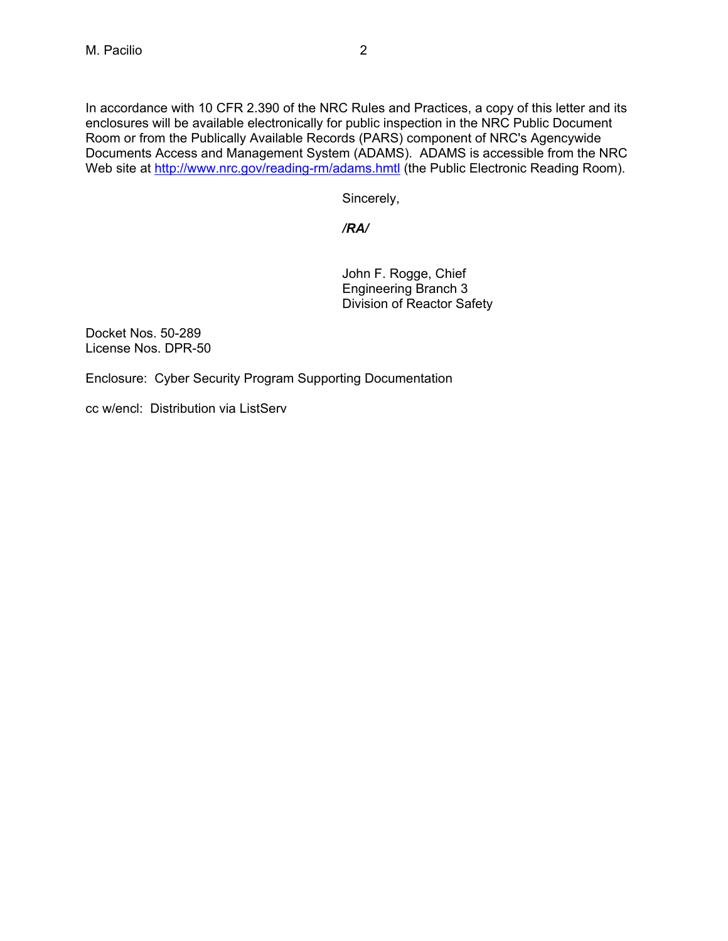In accordance with 10 CFR 2.390 of the NRC Rules and Practices, a copy of this letter and its enclosures will be available electronically for public inspection in the NRC Public Document Room or from the Publically Available Records (PARS) component of NRC's Agencywide Documents Access and Management System (ADAMS). ADAMS is accessible from the NRC Web site at http://www.nrc.gov/reading-rm/adams.hmtl (the Public Electronic Reading Room).

Sincerely,

# */RA/*

 John F. Rogge, Chief Engineering Branch 3 Division of Reactor Safety

Docket Nos. 50-289 License Nos. DPR-50

Enclosure: Cyber Security Program Supporting Documentation

cc w/encl: Distribution via ListServ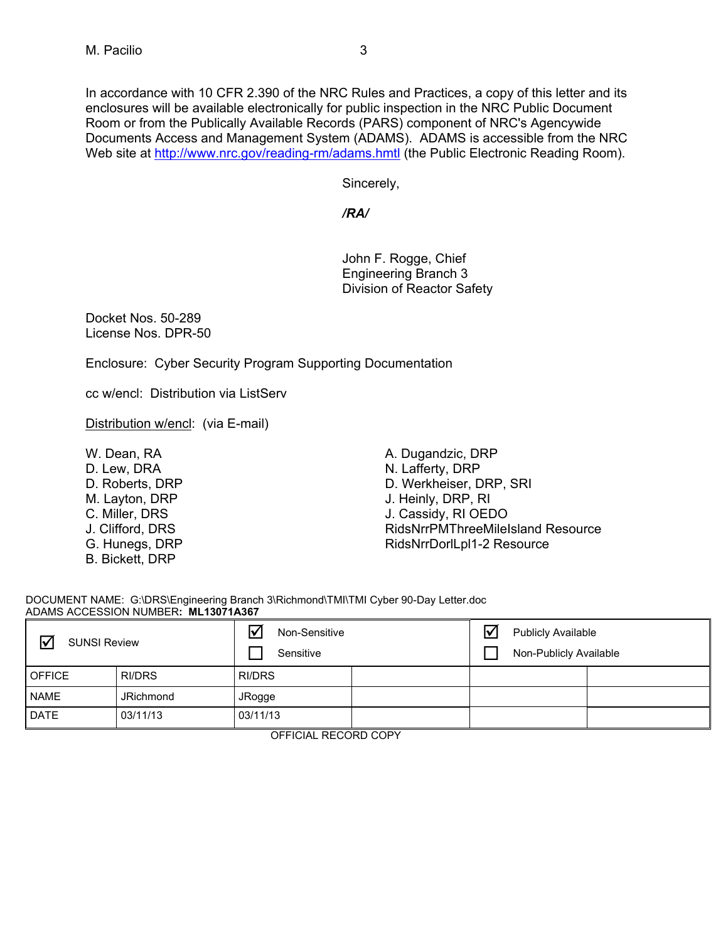In accordance with 10 CFR 2.390 of the NRC Rules and Practices, a copy of this letter and its enclosures will be available electronically for public inspection in the NRC Public Document Room or from the Publically Available Records (PARS) component of NRC's Agencywide Documents Access and Management System (ADAMS). ADAMS is accessible from the NRC Web site at http://www.nrc.gov/reading-rm/adams.hmtl (the Public Electronic Reading Room).

Sincerely,

# */RA/*

 John F. Rogge, Chief Engineering Branch 3 Division of Reactor Safety

Docket Nos. 50-289 License Nos. DPR-50

Enclosure: Cyber Security Program Supporting Documentation

cc w/encl: Distribution via ListServ

Distribution w/encl: (via E-mail)

W. Dean, RA D. Lew, DRA D. Roberts, DRP M. Layton, DRP C. Miller, DRS J. Clifford, DRS G. Hunegs, DRP B. Bickett, DRP

A. Dugandzic, DRP N. Lafferty, DRP D. Werkheiser, DRP, SRI J. Heinly, DRP, RI J. Cassidy, RI OEDO RidsNrrPMThreeMileIsland Resource RidsNrrDorlLpl1-2 Resource

DOCUMENT NAME: G:\DRS\Engineering Branch 3\Richmond\TMI\TMI Cyber 90-Day Letter.doc ADAMS ACCESSION NUMBER**: ML13071A367**

| $\triangledown$<br><b>SUNSI Review</b> |                  | $\bm{\nabla}$<br>Non-Sensitive<br>Sensitive |  | $\overline{\mathbf{v}}$ | <b>Publicly Available</b><br>Non-Publicly Available |  |
|----------------------------------------|------------------|---------------------------------------------|--|-------------------------|-----------------------------------------------------|--|
| <b>OFFICE</b>                          | <b>RI/DRS</b>    | RI/DRS                                      |  |                         |                                                     |  |
| <b>NAME</b>                            | <b>JRichmond</b> | JRogge                                      |  |                         |                                                     |  |
| <b>DATE</b>                            | 03/11/13         | 03/11/13                                    |  |                         |                                                     |  |

OFFICIAL RECORD COPY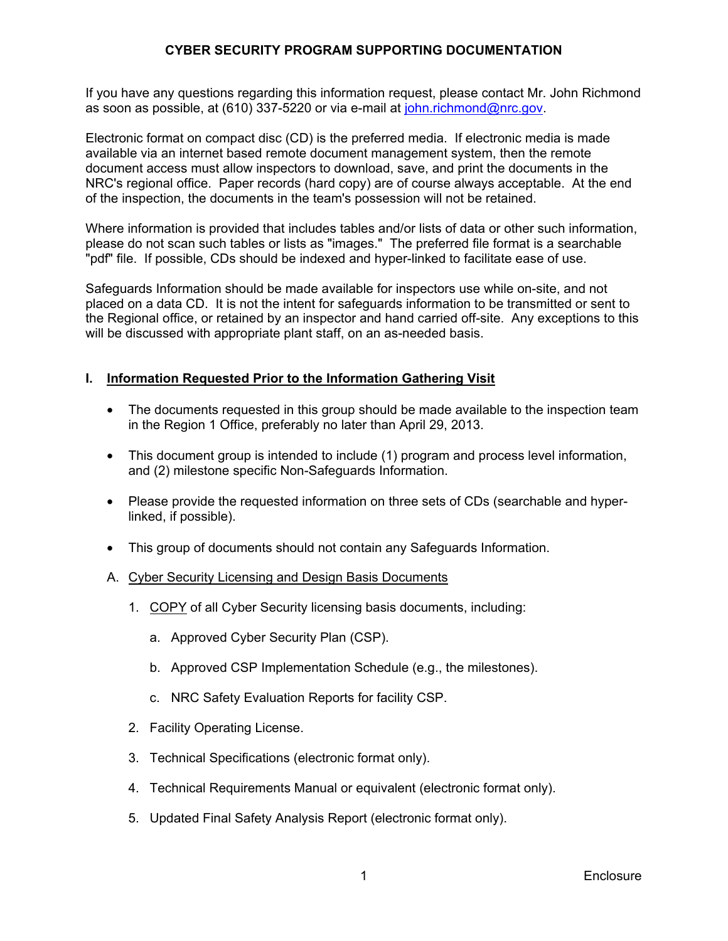If you have any questions regarding this information request, please contact Mr. John Richmond as soon as possible, at (610) 337-5220 or via e-mail at john.richmond@nrc.gov.

Electronic format on compact disc (CD) is the preferred media. If electronic media is made available via an internet based remote document management system, then the remote document access must allow inspectors to download, save, and print the documents in the NRC's regional office. Paper records (hard copy) are of course always acceptable. At the end of the inspection, the documents in the team's possession will not be retained.

Where information is provided that includes tables and/or lists of data or other such information, please do not scan such tables or lists as "images." The preferred file format is a searchable "pdf" file. If possible, CDs should be indexed and hyper-linked to facilitate ease of use.

Safeguards Information should be made available for inspectors use while on-site, and not placed on a data CD. It is not the intent for safeguards information to be transmitted or sent to the Regional office, or retained by an inspector and hand carried off-site. Any exceptions to this will be discussed with appropriate plant staff, on an as-needed basis.

# **I. Information Requested Prior to the Information Gathering Visit**

- The documents requested in this group should be made available to the inspection team in the Region 1 Office, preferably no later than April 29, 2013.
- This document group is intended to include (1) program and process level information, and (2) milestone specific Non-Safeguards Information.
- Please provide the requested information on three sets of CDs (searchable and hyperlinked, if possible).
- This group of documents should not contain any Safeguards Information.

#### A. Cyber Security Licensing and Design Basis Documents

- 1. COPY of all Cyber Security licensing basis documents, including:
	- a. Approved Cyber Security Plan (CSP).
	- b. Approved CSP Implementation Schedule (e.g., the milestones).
	- c. NRC Safety Evaluation Reports for facility CSP.
- 2. Facility Operating License.
- 3. Technical Specifications (electronic format only).
- 4. Technical Requirements Manual or equivalent (electronic format only).
- 5. Updated Final Safety Analysis Report (electronic format only).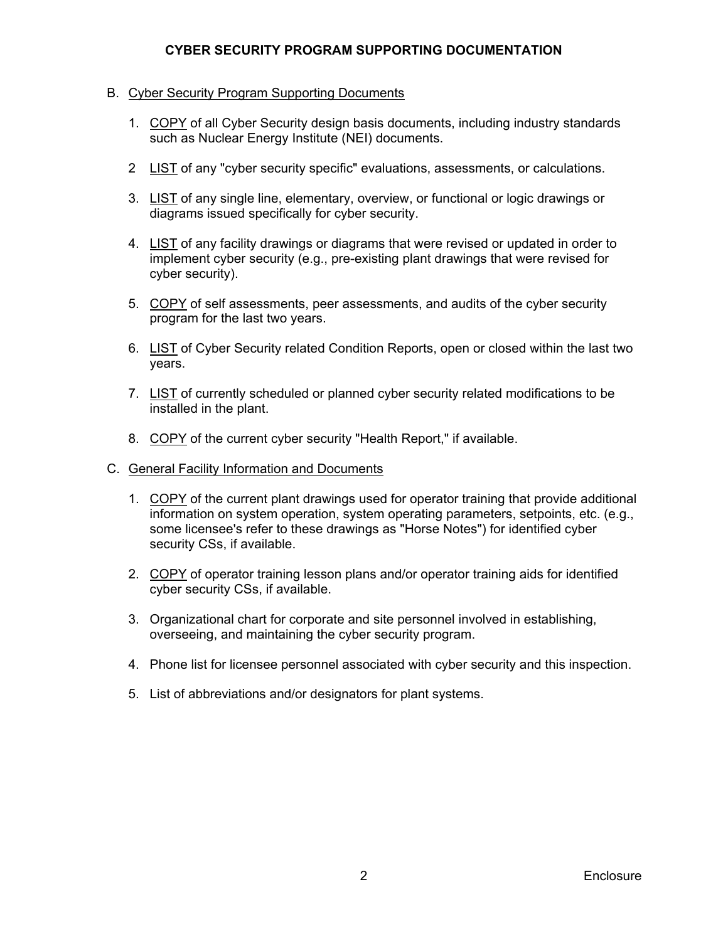#### B. Cyber Security Program Supporting Documents

- 1. COPY of all Cyber Security design basis documents, including industry standards such as Nuclear Energy Institute (NEI) documents.
- 2 LIST of any "cyber security specific" evaluations, assessments, or calculations.
- 3. LIST of any single line, elementary, overview, or functional or logic drawings or diagrams issued specifically for cyber security.
- 4. LIST of any facility drawings or diagrams that were revised or updated in order to implement cyber security (e.g., pre-existing plant drawings that were revised for cyber security).
- 5. COPY of self assessments, peer assessments, and audits of the cyber security program for the last two years.
- 6. LIST of Cyber Security related Condition Reports, open or closed within the last two years.
- 7. LIST of currently scheduled or planned cyber security related modifications to be installed in the plant.
- 8. COPY of the current cyber security "Health Report," if available.
- C. General Facility Information and Documents
	- 1. COPY of the current plant drawings used for operator training that provide additional information on system operation, system operating parameters, setpoints, etc. (e.g., some licensee's refer to these drawings as "Horse Notes") for identified cyber security CSs, if available.
	- 2. COPY of operator training lesson plans and/or operator training aids for identified cyber security CSs, if available.
	- 3. Organizational chart for corporate and site personnel involved in establishing, overseeing, and maintaining the cyber security program.
	- 4. Phone list for licensee personnel associated with cyber security and this inspection.
	- 5. List of abbreviations and/or designators for plant systems.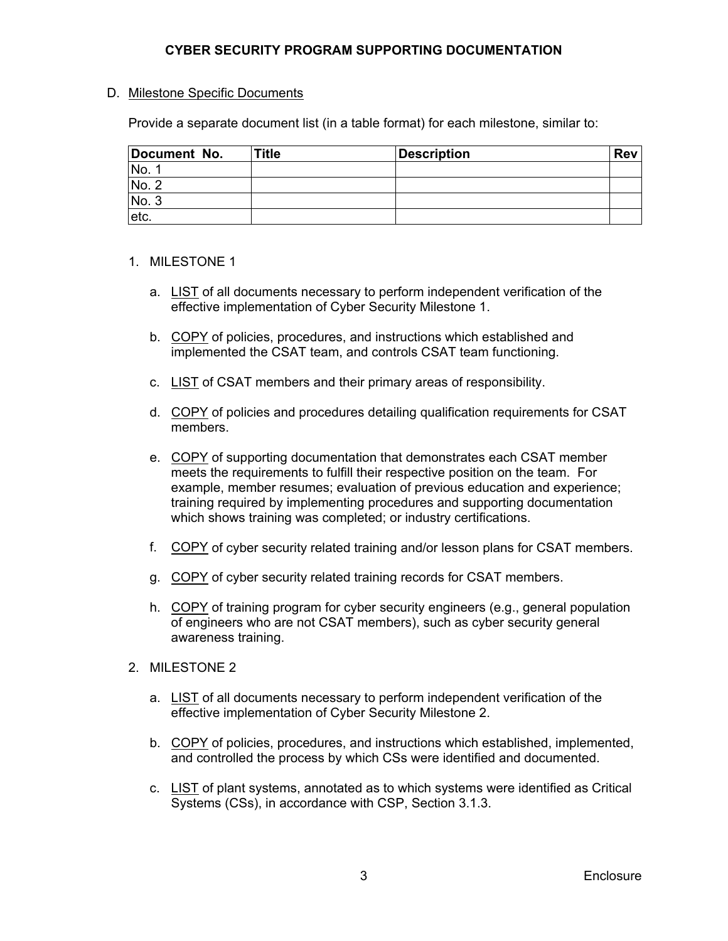#### D. Milestone Specific Documents

Provide a separate document list (in a table format) for each milestone, similar to:

| Document No. | <b>Title</b> | <b>Description</b> | <b>Rev</b> |
|--------------|--------------|--------------------|------------|
| No.          |              |                    |            |
| No. 2        |              |                    |            |
| No.3         |              |                    |            |
| letc.        |              |                    |            |

#### 1. MILESTONE 1

- a. LIST of all documents necessary to perform independent verification of the effective implementation of Cyber Security Milestone 1.
- b. COPY of policies, procedures, and instructions which established and implemented the CSAT team, and controls CSAT team functioning.
- c. LIST of CSAT members and their primary areas of responsibility.
- d. COPY of policies and procedures detailing qualification requirements for CSAT members.
- e. COPY of supporting documentation that demonstrates each CSAT member meets the requirements to fulfill their respective position on the team. For example, member resumes; evaluation of previous education and experience; training required by implementing procedures and supporting documentation which shows training was completed; or industry certifications.
- f. COPY of cyber security related training and/or lesson plans for CSAT members.
- g. COPY of cyber security related training records for CSAT members.
- h. COPY of training program for cyber security engineers (e.g., general population of engineers who are not CSAT members), such as cyber security general awareness training.
- 2. MILESTONE 2
	- a. LIST of all documents necessary to perform independent verification of the effective implementation of Cyber Security Milestone 2.
	- b. COPY of policies, procedures, and instructions which established, implemented, and controlled the process by which CSs were identified and documented.
	- c. LIST of plant systems, annotated as to which systems were identified as Critical Systems (CSs), in accordance with CSP, Section 3.1.3.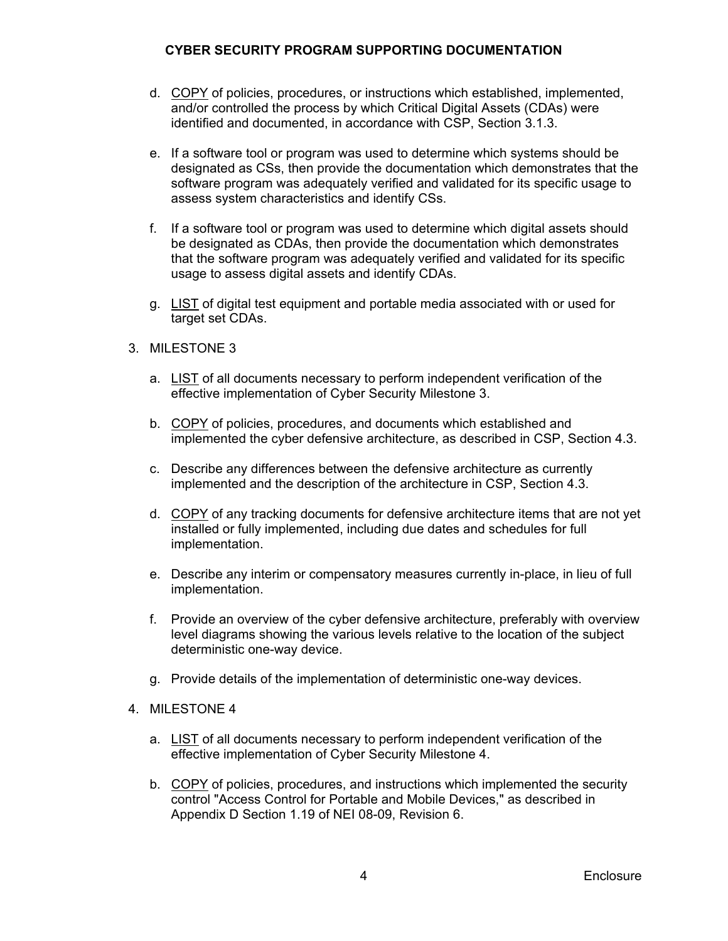- d. COPY of policies, procedures, or instructions which established, implemented, and/or controlled the process by which Critical Digital Assets (CDAs) were identified and documented, in accordance with CSP, Section 3.1.3.
- e. If a software tool or program was used to determine which systems should be designated as CSs, then provide the documentation which demonstrates that the software program was adequately verified and validated for its specific usage to assess system characteristics and identify CSs.
- f. If a software tool or program was used to determine which digital assets should be designated as CDAs, then provide the documentation which demonstrates that the software program was adequately verified and validated for its specific usage to assess digital assets and identify CDAs.
- g. LIST of digital test equipment and portable media associated with or used for target set CDAs.
- 3. MILESTONE 3
	- a. LIST of all documents necessary to perform independent verification of the effective implementation of Cyber Security Milestone 3.
	- b. COPY of policies, procedures, and documents which established and implemented the cyber defensive architecture, as described in CSP, Section 4.3.
	- c. Describe any differences between the defensive architecture as currently implemented and the description of the architecture in CSP, Section 4.3.
	- d. COPY of any tracking documents for defensive architecture items that are not yet installed or fully implemented, including due dates and schedules for full implementation.
	- e. Describe any interim or compensatory measures currently in-place, in lieu of full implementation.
	- f. Provide an overview of the cyber defensive architecture, preferably with overview level diagrams showing the various levels relative to the location of the subject deterministic one-way device.
	- g. Provide details of the implementation of deterministic one-way devices.
- 4. MILESTONE 4
	- a. LIST of all documents necessary to perform independent verification of the effective implementation of Cyber Security Milestone 4.
	- b. COPY of policies, procedures, and instructions which implemented the security control "Access Control for Portable and Mobile Devices," as described in Appendix D Section 1.19 of NEI 08-09, Revision 6.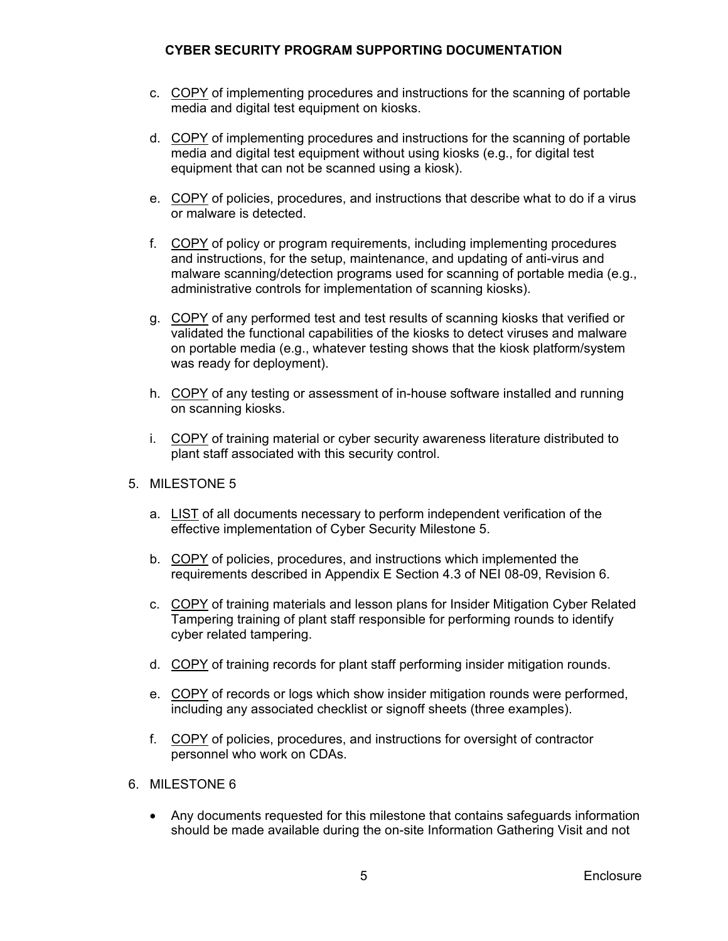- c. COPY of implementing procedures and instructions for the scanning of portable media and digital test equipment on kiosks.
- d. COPY of implementing procedures and instructions for the scanning of portable media and digital test equipment without using kiosks (e.g., for digital test equipment that can not be scanned using a kiosk).
- e. COPY of policies, procedures, and instructions that describe what to do if a virus or malware is detected.
- f. COPY of policy or program requirements, including implementing procedures and instructions, for the setup, maintenance, and updating of anti-virus and malware scanning/detection programs used for scanning of portable media (e.g., administrative controls for implementation of scanning kiosks).
- g. COPY of any performed test and test results of scanning kiosks that verified or validated the functional capabilities of the kiosks to detect viruses and malware on portable media (e.g., whatever testing shows that the kiosk platform/system was ready for deployment).
- h. COPY of any testing or assessment of in-house software installed and running on scanning kiosks.
- i. COPY of training material or cyber security awareness literature distributed to plant staff associated with this security control.
- 5. MILESTONE 5
	- a. LIST of all documents necessary to perform independent verification of the effective implementation of Cyber Security Milestone 5.
	- b. COPY of policies, procedures, and instructions which implemented the requirements described in Appendix E Section 4.3 of NEI 08-09, Revision 6.
	- c. COPY of training materials and lesson plans for Insider Mitigation Cyber Related Tampering training of plant staff responsible for performing rounds to identify cyber related tampering.
	- d. COPY of training records for plant staff performing insider mitigation rounds.
	- e. COPY of records or logs which show insider mitigation rounds were performed, including any associated checklist or signoff sheets (three examples).
	- f. COPY of policies, procedures, and instructions for oversight of contractor personnel who work on CDAs.
- 6. MILESTONE 6
	- Any documents requested for this milestone that contains safeguards information should be made available during the on-site Information Gathering Visit and not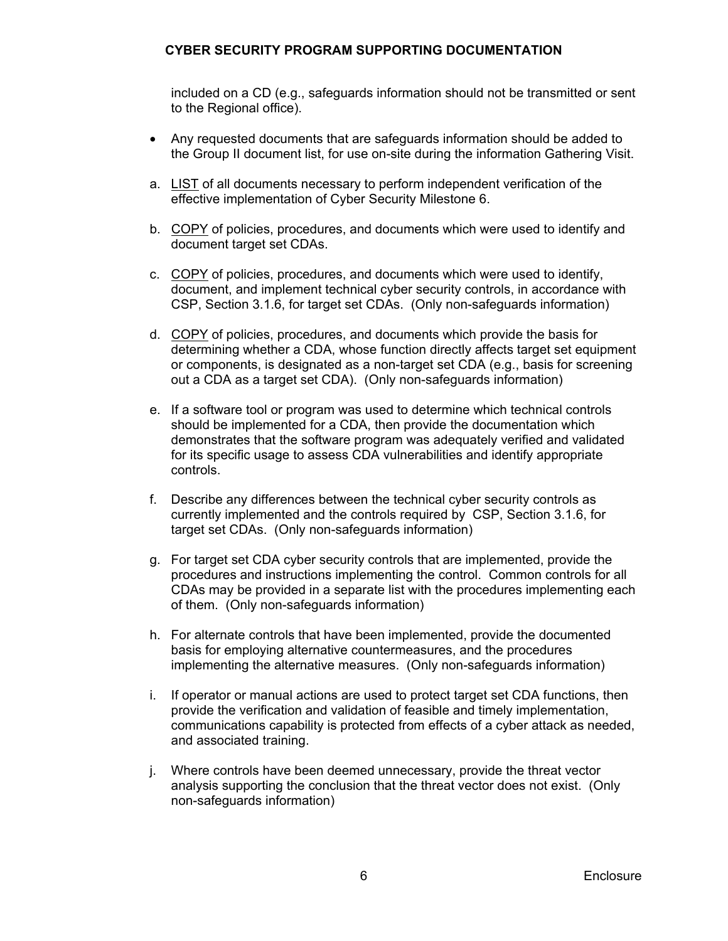included on a CD (e.g., safeguards information should not be transmitted or sent to the Regional office).

- Any requested documents that are safeguards information should be added to the Group II document list, for use on-site during the information Gathering Visit.
- a. LIST of all documents necessary to perform independent verification of the effective implementation of Cyber Security Milestone 6.
- b. COPY of policies, procedures, and documents which were used to identify and document target set CDAs.
- c. COPY of policies, procedures, and documents which were used to identify, document, and implement technical cyber security controls, in accordance with CSP, Section 3.1.6, for target set CDAs. (Only non-safeguards information)
- d. COPY of policies, procedures, and documents which provide the basis for determining whether a CDA, whose function directly affects target set equipment or components, is designated as a non-target set CDA (e.g., basis for screening out a CDA as a target set CDA). (Only non-safeguards information)
- e. If a software tool or program was used to determine which technical controls should be implemented for a CDA, then provide the documentation which demonstrates that the software program was adequately verified and validated for its specific usage to assess CDA vulnerabilities and identify appropriate controls.
- f. Describe any differences between the technical cyber security controls as currently implemented and the controls required by CSP, Section 3.1.6, for target set CDAs. (Only non-safeguards information)
- g. For target set CDA cyber security controls that are implemented, provide the procedures and instructions implementing the control. Common controls for all CDAs may be provided in a separate list with the procedures implementing each of them. (Only non-safeguards information)
- h. For alternate controls that have been implemented, provide the documented basis for employing alternative countermeasures, and the procedures implementing the alternative measures. (Only non-safeguards information)
- i. If operator or manual actions are used to protect target set CDA functions, then provide the verification and validation of feasible and timely implementation, communications capability is protected from effects of a cyber attack as needed, and associated training.
- j. Where controls have been deemed unnecessary, provide the threat vector analysis supporting the conclusion that the threat vector does not exist. (Only non-safeguards information)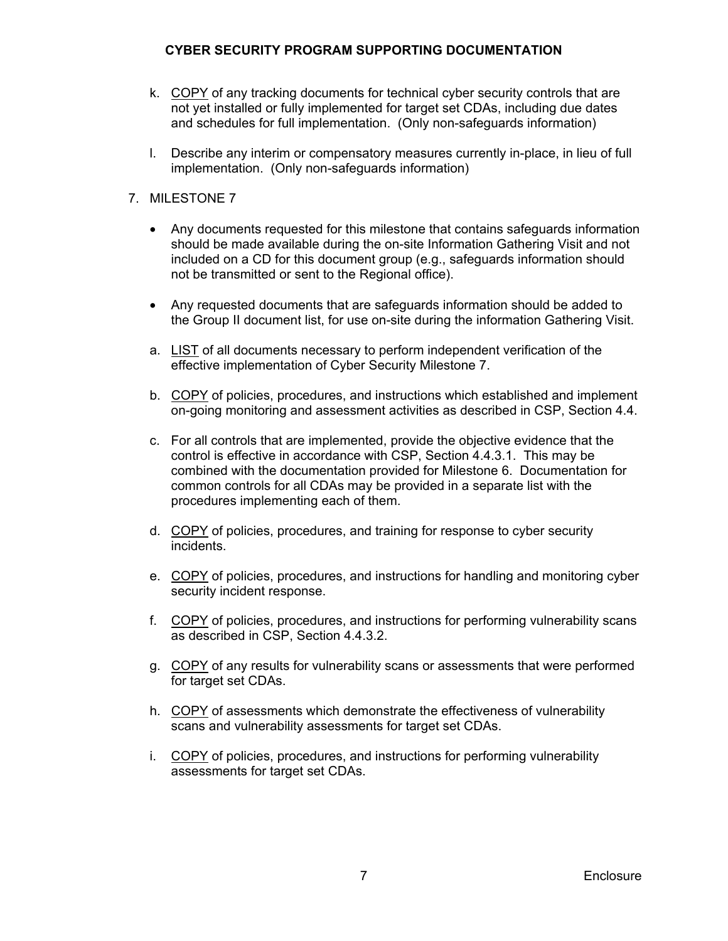- k. COPY of any tracking documents for technical cyber security controls that are not yet installed or fully implemented for target set CDAs, including due dates and schedules for full implementation. (Only non-safeguards information)
- l. Describe any interim or compensatory measures currently in-place, in lieu of full implementation. (Only non-safeguards information)

# 7. MILESTONE 7

- Any documents requested for this milestone that contains safeguards information should be made available during the on-site Information Gathering Visit and not included on a CD for this document group (e.g., safeguards information should not be transmitted or sent to the Regional office).
- Any requested documents that are safeguards information should be added to the Group II document list, for use on-site during the information Gathering Visit.
- a. LIST of all documents necessary to perform independent verification of the effective implementation of Cyber Security Milestone 7.
- b. COPY of policies, procedures, and instructions which established and implement on-going monitoring and assessment activities as described in CSP, Section 4.4.
- c. For all controls that are implemented, provide the objective evidence that the control is effective in accordance with CSP, Section 4.4.3.1. This may be combined with the documentation provided for Milestone 6. Documentation for common controls for all CDAs may be provided in a separate list with the procedures implementing each of them.
- d. COPY of policies, procedures, and training for response to cyber security incidents.
- e. COPY of policies, procedures, and instructions for handling and monitoring cyber security incident response.
- f. COPY of policies, procedures, and instructions for performing vulnerability scans as described in CSP, Section 4.4.3.2.
- g. COPY of any results for vulnerability scans or assessments that were performed for target set CDAs.
- h. COPY of assessments which demonstrate the effectiveness of vulnerability scans and vulnerability assessments for target set CDAs.
- i. COPY of policies, procedures, and instructions for performing vulnerability assessments for target set CDAs.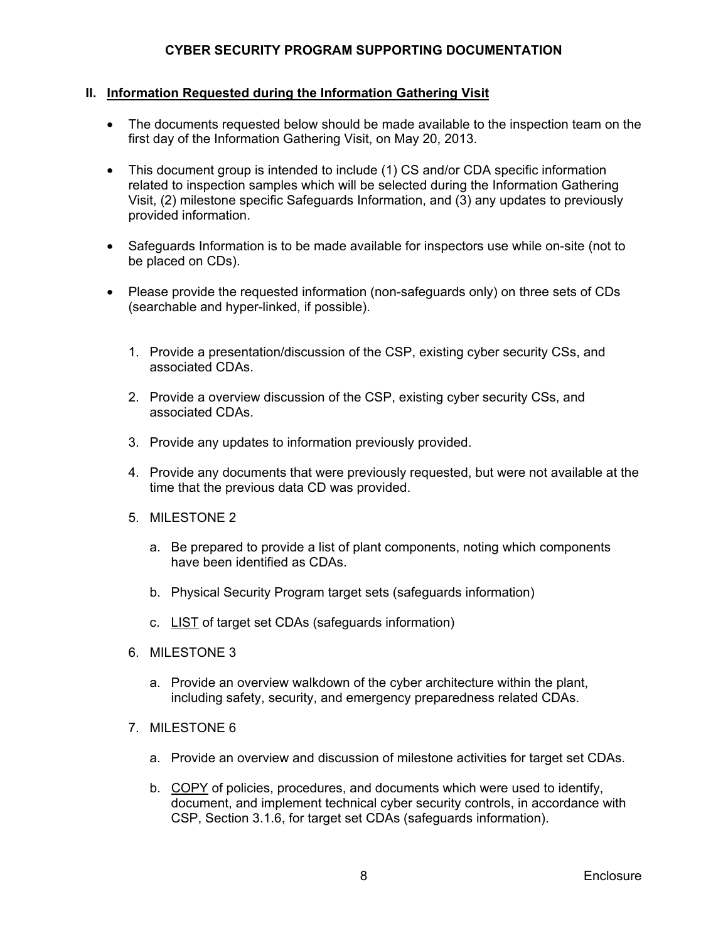### **II. Information Requested during the Information Gathering Visit**

- The documents requested below should be made available to the inspection team on the first day of the Information Gathering Visit, on May 20, 2013.
- This document group is intended to include (1) CS and/or CDA specific information related to inspection samples which will be selected during the Information Gathering Visit, (2) milestone specific Safeguards Information, and (3) any updates to previously provided information.
- Safeguards Information is to be made available for inspectors use while on-site (not to be placed on CDs).
- Please provide the requested information (non-safeguards only) on three sets of CDs (searchable and hyper-linked, if possible).
	- 1. Provide a presentation/discussion of the CSP, existing cyber security CSs, and associated CDAs.
	- 2. Provide a overview discussion of the CSP, existing cyber security CSs, and associated CDAs.
	- 3. Provide any updates to information previously provided.
	- 4. Provide any documents that were previously requested, but were not available at the time that the previous data CD was provided.
	- 5. MILESTONE 2
		- a. Be prepared to provide a list of plant components, noting which components have been identified as CDAs.
		- b. Physical Security Program target sets (safeguards information)
		- c. LIST of target set CDAs (safeguards information)
	- 6. MILESTONE 3
		- a. Provide an overview walkdown of the cyber architecture within the plant, including safety, security, and emergency preparedness related CDAs.
	- 7. MILESTONE 6
		- a. Provide an overview and discussion of milestone activities for target set CDAs.
		- b. COPY of policies, procedures, and documents which were used to identify, document, and implement technical cyber security controls, in accordance with CSP, Section 3.1.6, for target set CDAs (safeguards information).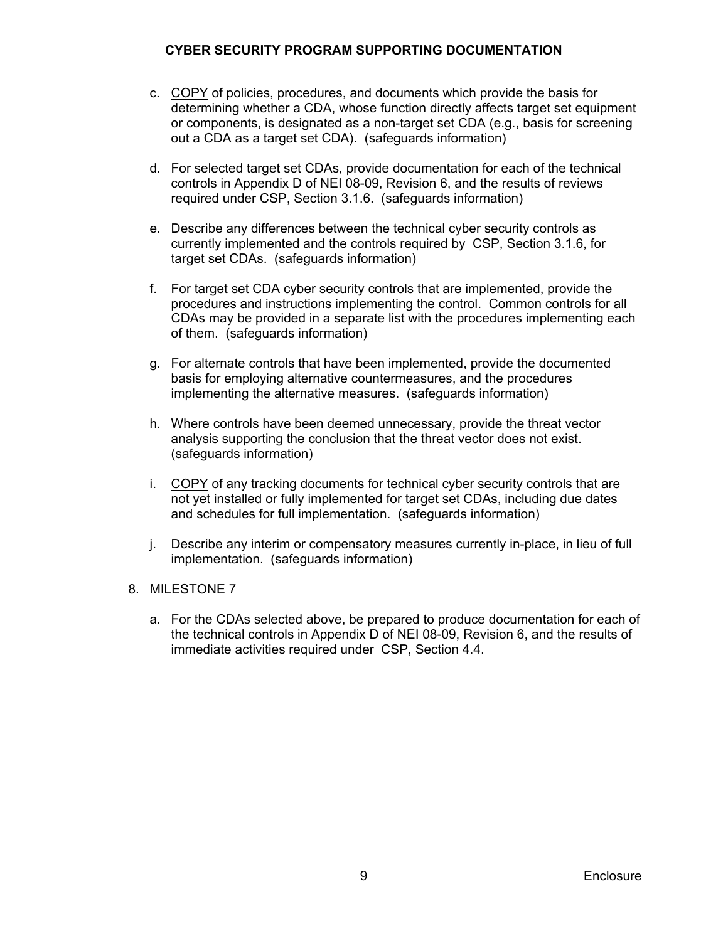- c. COPY of policies, procedures, and documents which provide the basis for determining whether a CDA, whose function directly affects target set equipment or components, is designated as a non-target set CDA (e.g., basis for screening out a CDA as a target set CDA). (safeguards information)
- d. For selected target set CDAs, provide documentation for each of the technical controls in Appendix D of NEI 08-09, Revision 6, and the results of reviews required under CSP, Section 3.1.6. (safeguards information)
- e. Describe any differences between the technical cyber security controls as currently implemented and the controls required by CSP, Section 3.1.6, for target set CDAs. (safeguards information)
- f. For target set CDA cyber security controls that are implemented, provide the procedures and instructions implementing the control. Common controls for all CDAs may be provided in a separate list with the procedures implementing each of them. (safeguards information)
- g. For alternate controls that have been implemented, provide the documented basis for employing alternative countermeasures, and the procedures implementing the alternative measures. (safeguards information)
- h. Where controls have been deemed unnecessary, provide the threat vector analysis supporting the conclusion that the threat vector does not exist. (safeguards information)
- i. COPY of any tracking documents for technical cyber security controls that are not yet installed or fully implemented for target set CDAs, including due dates and schedules for full implementation. (safeguards information)
- j. Describe any interim or compensatory measures currently in-place, in lieu of full implementation. (safeguards information)
- 8. MILESTONE 7
	- a. For the CDAs selected above, be prepared to produce documentation for each of the technical controls in Appendix D of NEI 08-09, Revision 6, and the results of immediate activities required under CSP, Section 4.4.